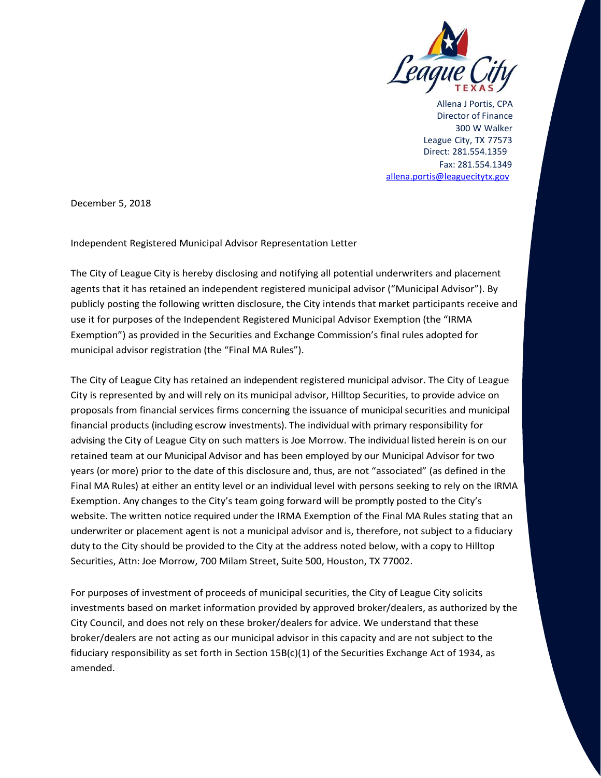

Allena J Portis, CPA Director of Finance 300 W Walker League City, TX 77573 Direct: 281.554.1359 Fax: 281.554.1349 allena.portis@leaguecitytx.gov

December 5, 2018

Independent Registered Municipal Advisor Representation Letter

The City of League City is hereby disclosing and notifying all potential underwriters and placement agents that it has retained an independent registered municipal advisor ("Municipal Advisor"). By publicly posting the following written disclosure, the City intends that market participants receive and use it for purposes of the Independent Registered Municipal Advisor Exemption (the "IRMA Exemption") as provided in the Securities and Exchange Commission's final rules adopted for municipal advisor registration (the "Final MA Rules").

The City of League City has retained an independent registered municipal advisor. The City of League City is represented by and will rely on its municipal advisor, Hilltop Securities, to provide advice on proposals from financial services firms concerning the issuance of municipal securities and municipal financial products (including escrow investments). The individual with primary responsibility for advising the City of League City on such matters is Joe Morrow. The individual listed herein is on our retained team at our Municipal Advisor and has been employed by our Municipal Advisor for two years (or more) prior to the date of this disclosure and, thus, are not "associated" (as defined in the Final MA Rules) at either an entity level or an individual level with persons seeking to rely on the IRMA Exemption. Any changes to the City's team going forward will be promptly posted to the City's website. The written notice required under the IRMA Exemption of the Final MA Rules stating that an underwriter or placement agent is not a municipal advisor and is, therefore, not subject to a fiduciary duty to the City should be provided to the City at the address noted below, with a copy to Hilltop Securities, Attn: Joe Morrow, 700 Milam Street, Suite 500, Houston, TX 77002.

For purposes of investment of proceeds of municipal securities, the City of League City solicits investments based on market information provided by approved broker/dealers, as authorized by the City Council, and does not rely on these broker/dealers for advice. We understand that these broker/dealers are not acting as our municipal advisor in this capacity and are not subject to the fiduciary responsibility as set forth in Section 15B(c)(1) of the Securities Exchange Act of 1934, as amended.